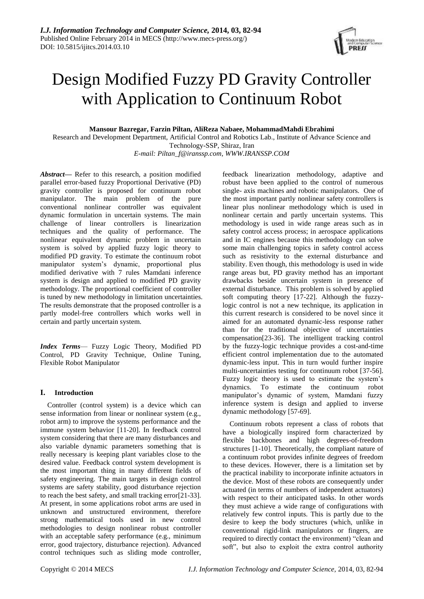# Design Modified Fuzzy PD Gravity Controller with Application to Continuum Robot

**Mansour Bazregar, Farzin Piltan, AliReza Nabaee, MohammadMahdi Ebrahimi** 

Research and Development Department, Artificial Control and Robotics Lab., Institute of Advance Science and Technology-SSP, Shiraz, Iran

*E-mail: [Piltan\\_f@iranssp.com,](mailto:Piltan_f@iranssp.com) WWW.IRANSSP.COM*

*Abstract—* Refer to this research, a position modified parallel error-based fuzzy Proportional Derivative (PD) gravity controller is proposed for continuum robot manipulator. The main problem of the pure conventional nonlinear controller was equivalent dynamic formulation in uncertain systems. The main challenge of linear controllers is linearization techniques and the quality of performance. The nonlinear equivalent dynamic problem in uncertain system is solved by applied fuzzy logic theory to modified PD gravity. To estimate the continuum robot manipulator system's dynamic, proportional plus modified derivative with 7 rules Mamdani inference system is design and applied to modified PD gravity methodology. The proportional coefficient of controller is tuned by new methodology in limitation uncertainties. The results demonstrate that the proposed controller is a partly model-free controllers which works well in certain and partly uncertain system.

*Index Terms*— Fuzzy Logic Theory, Modified PD Control, PD Gravity Technique, Online Tuning, Flexible Robot Manipulator

## **I. Introduction**

Controller (control system) is a device which can sense information from linear or nonlinear system (e.g., robot arm) to improve the systems performance and the immune system behavior [11-20]. In feedback control system considering that there are many disturbances and also variable dynamic parameters something that is really necessary is keeping plant variables close to the desired value. Feedback control system development is the most important thing in many different fields of safety engineering. The main targets in design control systems are safety stability, good disturbance rejection to reach the best safety, and small tracking error[21-33]. At present, in some applications robot arms are used in unknown and unstructured environment, therefore strong mathematical tools used in new control methodologies to design nonlinear robust controller with an acceptable safety performance (e.g., minimum error, good trajectory, disturbance rejection). Advanced control techniques such as sliding mode controller,

feedback linearization methodology, adaptive and robust have been applied to the control of numerous single- axis machines and robotic manipulators. One of the most important partly nonlinear safety controllers is linear plus nonlinear methodology which is used in nonlinear certain and partly uncertain systems. This methodology is used in wide range areas such as in safety control access process; in aerospace applications and in IC engines because this methodology can solve some main challenging topics in safety control access such as resistivity to the external disturbance and stability. Even though, this methodology is used in wide range areas but, PD gravity method has an important drawbacks beside uncertain system in presence of external disturbance. This problem is solved by applied soft computing theory [17-22]. Although the fuzzylogic control is not a new technique, its application in this current research is considered to be novel since it aimed for an automated dynamic-less response rather than for the traditional objective of uncertainties compensation[23-36]. The intelligent tracking control by the fuzzy-logic technique provides a cost-and-time efficient control implementation due to the automated dynamic-less input. This in turn would further inspire multi-uncertainties testing for continuum robot [37-56]. Fuzzy logic theory is used to estimate the system's dynamics. To estimate the continuum robot manipulator's dynamic of system, Mamdani fuzzy inference system is design and applied to inverse dynamic methodology [57-69].

Continuum robots represent a class of robots that have a biologically inspired form characterized by flexible backbones and high degrees-of-freedom structures [1-10]. Theoretically, the compliant nature of a continuum robot provides infinite degrees of freedom to these devices. However, there is a limitation set by the practical inability to incorporate infinite actuators in the device. Most of these robots are consequently under actuated (in terms of numbers of independent actuators) with respect to their anticipated tasks. In other words they must achieve a wide range of configurations with relatively few control inputs. This is partly due to the desire to keep the body structures (which, unlike in conventional rigid-link manipulators or fingers, are required to directly contact the environment) "clean and soft", but also to exploit the extra control authority

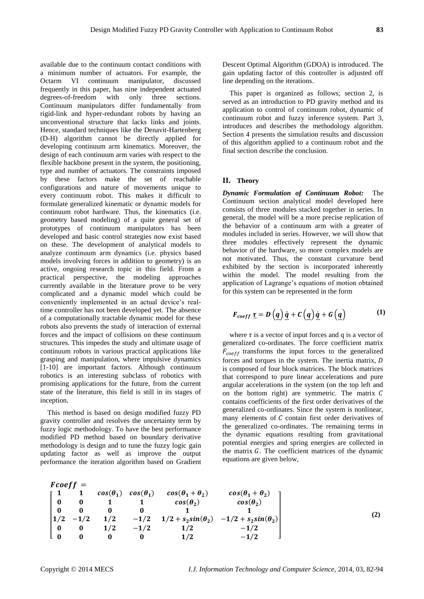available due to the continuum contact conditions with a minimum number of actuators. For example, the Octarm VI continuum manipulator, discussed frequently in this paper, has nine independent actuated degrees-of-freedom with only three sections. Continuum manipulators differ fundamentally from rigid-link and hyper-redundant robots by having an unconventional structure that lacks links and joints. Hence, standard techniques like the Denavit-Hartenberg (D-H) algorithm cannot be directly applied for developing continuum arm kinematics. Moreover, the design of each continuum arm varies with respect to the flexible backbone present in the system, the positioning, type and number of actuators. The constraints imposed by these factors make the set of reachable configurations and nature of movements unique to every continuum robot. This makes it difficult to formulate generalized kinematic or dynamic models for continuum robot hardware. Thus, the kinematics (i.e. geometry based modeling) of a quite general set of prototypes of continuum manipulators has been developed and basic control strategies now exist based on these. The development of analytical models to analyze continuum arm dynamics (i.e. physics based models involving forces in addition to geometry) is an active, ongoing research topic in this field. From a practical perspective, the modeling approaches currently available in the literature prove to be very complicated and a dynamic model which could be conveniently implemented in an actual device's realtime controller has not been developed yet. The absence of a computationally tractable dynamic model for these robots also prevents the study of interaction of external forces and the impact of collisions on these continuum structures. This impedes the study and ultimate usage of continuum robots in various practical applications like grasping and manipulation, where impulsive dynamics [1-10] are important factors. Although continuum robotics is an interesting subclass of robotics with promising applications for the future, from the current state of the literature, this field is still in its stages of inception.

This method is based on design modified fuzzy PD gravity controller and resolves the uncertainty term by fuzzy logic methodology. To have the best performance modified PD method based on boundary derivative methodology is design and to tune the fuzzy logic gain updating factor as well as improve the output performance the iteration algorithm based on Gradient

Descent Optimal Algorithm (GDOA) is introduced. The gain updating factor of this controller is adjusted off line depending on the iterations.

This paper is organized as follows; section 2, is served as an introduction to PD gravity method and its application to control of continuum robot, dynamic of continuum robot and fuzzy inference system. Part 3, introduces and describes the methodology algorithm. Section 4 presents the simulation results and discussion of this algorithm applied to a continuum robot and the final section describe the conclusion.

#### **II. Theory**

*Dynamic Formulation of Continuum Robot:* The Continuum section analytical model developed here consists of three modules stacked together in series. In general, the model will be a more precise replication of the behavior of a continuum arm with a greater of modules included in series. However, we will show that three modules effectively represent the dynamic behavior of the hardware, so more complex models are not motivated. Thus, the constant curvature bend exhibited by the section is incorporated inherently within the model. The model resulting from the application of Lagrange's equations of motion obtained for this system can be represented in the form

$$
F_{coeff} \underline{\tau} = D\left(\underline{q}\right) \underline{\ddot{q}} + C\left(\underline{q}\right) \underline{\dot{q}} + G\left(\underline{q}\right) \tag{1}
$$

where  $\tau$  is a vector of input forces and q is a vector of generalized co-ordinates. The force coefficient matrix  $F_{coeff}$  transforms the input forces to the generalized forces and torques in the system. The inertia matrix, is composed of four block matrices. The block matrices that correspond to pure linear accelerations and pure angular accelerations in the system (on the top left and on the bottom right) are symmetric. The matrix  $C$ contains coefficients of the first order derivatives of the generalized co-ordinates. Since the system is nonlinear, many elements of  $C$  contain first order derivatives of the generalized co-ordinates. The remaining terms in the dynamic equations resulting from gravitational potential energies and spring energies are collected in the matrix  $G$ . The coefficient matrices of the dynamic equations are given below,

$$
F\cos f = \begin{bmatrix} 1 & 1 & \cos(\theta_1) & \cos(\theta_1) & \cos(\theta_1 + \theta_2) & \cos(\theta_1 + \theta_2) \\ 0 & 0 & 1 & 1 & \cos(\theta_2) & \cos(\theta_2) \\ 0 & 0 & 0 & 0 & 1 & 1 \\ 1/2 & -1/2 & 1/2 & -1/2 & 1/2 + s_2 \sin(\theta_2) & -1/2 + s_2 \sin(\theta_2) \\ 0 & 0 & 1/2 & -1/2 & 1/2 & -1/2 \\ 0 & 0 & 0 & 1/2 & -1/2 & -1/2 \end{bmatrix}
$$
(2)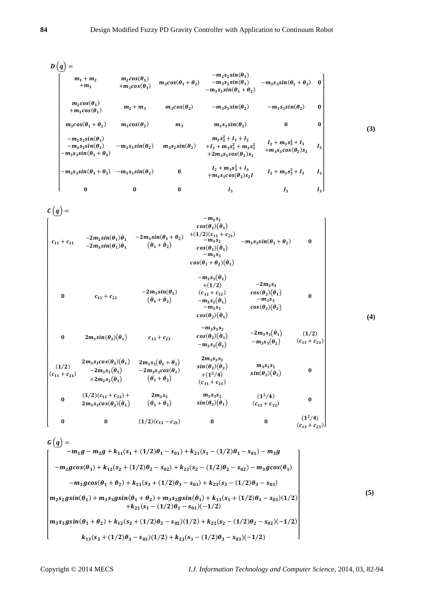$$
D\left(\underline{q}\right) = \begin{bmatrix}\nm_1 + m_2 & m_2 \cos(\theta_1) & m_3 \cos(\theta_1 + \theta_2) & -m_2 s_2 \sin(\theta_1) & -m_3 s_3 \sin(\theta_1 + \theta_2) & 0 \\
+m_3 & +m_3 \cos(\theta_1) & m_2 + m_3 & -m_3 s_3 \sin(\theta_1 + \theta_2) & -m_3 s_3 \sin(\theta_1 + \theta_2)\n\end{bmatrix}
$$
\n
$$
m_2 \cos(\theta_1) \qquad m_2 + m_3 \qquad m_3 \cos(\theta_2) \qquad -m_3 s_3 \sin(\theta_2) \qquad -m_3 s_3 \sin(\theta_2) & 0
$$
\n
$$
m_3 \cos(\theta_1 + \theta_2) \qquad m_3 \cos(\theta_2) \qquad m_3 \qquad m_3 s_3 \sin(\theta_2) & 0 & 0
$$
\n
$$
-m_2 s_2 \sin(\theta_1) \qquad -m_3 s_3 \sin(\theta_2) \qquad m_3 s_2 \sin(\theta_2) & +1_3 + m_3 s_2^2 + m_3 s_3^2 & 1_2 + m_3 s_3^2 + 1_3 \\
-m_3 s_3 \sin(\theta_1 + \theta_2) \qquad -m_3 s_3 \sin(\theta_2) & m_3 s_2 \sin(\theta_2) & -1_2 + m_3 s_3^2 + m_3 s_3 \cos(\theta_2) s_2 & 0 \\
-m_3 s_3 \sin(\theta_1 + \theta_2) & -m_3 s_3 \sin(\theta_2) & 0 & 1_2 + m_3 s_3^2 + 1_3 & 1_3 \\
+m_3 s_3 \cos(\theta_2) s_2 & 1 & 1_2 + m_3 s_3^2 + 1_3 & 1_3 \\
m_3 s_3 \cos(\theta_2) s_2 & 1 & 1_3 & 1_3\n\end{bmatrix}
$$
\n(3)

 $c(\underline{q}) =$ 

$$
\begin{bmatrix}\n& -m_2 s_2 & -m_2 s_1(\theta_1) \dot{\theta}_1 & -2m_3 sin(\theta_1 + \theta_2) & + (1/2)(c_{11} + c_{21}) & -2m_3 s_1 sin(\theta_1) \dot{\theta}_1 & (\dot{\theta}_1 + \dot{\theta}_2) & -m_3 s_2 sin(\theta_1 + \theta_2) & -m_3 s_3 sin(\theta_1 + \theta_2) & 0 \\
& -2m_3 sin(\theta_1) \dot{\theta}_1 & (\dot{\theta}_1 + \dot{\theta}_2) & -m_3 s_3 & -2m_3 s_1 (\dot{\theta}_1) & -m_3 s_3 \\
& -2m_3 sin(\theta_2) & (c_{12} + c_{22}) & -2m_3 s_3 & -2m_3 s_3 & 0 \\
& -m_3 s_3 & -m_3 s_2 (\dot{\theta}_1) & -m_3 s_2 \\
& -m_3 s_3 & -m_3 s_3 & -m_3 s_3 & 0\n\end{bmatrix}
$$
\n
$$
\begin{bmatrix}\n& -m_2 s_2 & -2m_3 sin(\theta_1) & + (1/2) & -2m_3 s_3 \\
& + (1/2) & -2m_3 s_3 & -m_3 s_3 \\
& -m_3 s_3 & -m_3 s_3 & -m_3 s_3 \\
& -m_3 s_3 & -m_3 s_3 & -m_3 s_3 \\
& -m_3 s_3 & -m_3 s_3 & -m_3 s_3 & -m_3 s_3 \\
& -m_3 s_3 & -m_3 s_3 & -m_3 s_3 & -m_3 s_3 \\
& -m_3 s_3 & -m_3 s_3 & -m_3 s_3 & -m_3 s_3 & -m_3 s_3 \\
& -2m_3 s_3 cos(\theta_2) (\dot{\theta}_1) & -2m_3 s_2 cos(\theta_2) & -m_3 s_3 & -m_3 s_3 & -m_3 s_3 & -m_3 s_3 & -m_3 s_3 & -m_3 s_3 & -m_3 s_3 & -m_3 s_3 & -m_3 s_3 & -m_3 s_3 & -m_3 s_3 & -m_3 s_3 & -m_3 s_3 & -m_3 s_3 & -m_3 s_3 & -m_3 s_3 & -m_3 s_3 & -m_3 s_3 & -m_3 s_3 & -m_3 s_3 & -m
$$

$$
G(q) = -m_1g - m_2g + k_{11}(s_1 + (1/2)\theta_1 - s_{01}) + k_{21}(s_1 - (1/2)\theta_1 - s_{01}) - m_3g
$$
  
\n
$$
-m_2g\cos(\theta_1) + k_{12}(s_2 + (1/2)\theta_2 - s_{02}) + k_{22}(s_2 - (1/2)\theta_2 - s_{02}) - m_3g\cos(\theta_1)
$$
  
\n
$$
-m_3g\cos(\theta_1 + \theta_2) + k_{13}(s_3 + (1/2)\theta_3 - s_{03}) + k_{23}(s_3 - (1/2)\theta_3 - s_{03})
$$
  
\n
$$
m_2s_2gsin(\theta_1) + m_3s_3gsin(\theta_1 + \theta_2) + m_3s_2gsin(\theta_1) + k_{11}(s_1 + (1/2)\theta_1 - s_{01})(1/2)
$$
  
\n
$$
+k_{21}(s_1 - (1/2)\theta_1 - s_{01})(-1/2)
$$
  
\n
$$
m_3s_3gsin(\theta_1 + \theta_2) + k_{12}(s_2 + (1/2)\theta_2 - s_{02})(1/2) + k_{22}(s_2 - (1/2)\theta_2 - s_{02})(-1/2)
$$
  
\n
$$
k_{13}(s_3 + (1/2)\theta_3 - s_{03})(1/2) + k_{23}(s_3 - (1/2)\theta_3 - s_{03})(-1/2)
$$
  
\n(5)

Copyright © 2014 MECS

 $(4)$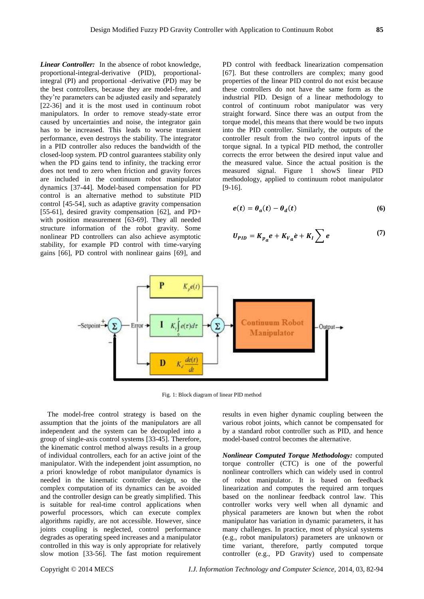*Linear Controller:* In the absence of robot knowledge, proportional-integral-derivative (PID), proportionalintegral (PI) and proportional -derivative (PD) may be the best controllers, because they are model-free, and they're parameters can be adjusted easily and separately [22-36] and it is the most used in continuum robot manipulators. In order to remove steady-state error caused by uncertainties and noise, the integrator gain has to be increased. This leads to worse transient performance, even destroys the stability. The integrator in a PID controller also reduces the bandwidth of the closed-loop system. PD control guarantees stability only when the PD gains tend to infinity, the tracking error

does not tend to zero when friction and gravity forces are included in the continuum robot manipulator dynamics [37-44]. Model-based compensation for PD control is an alternative method to substitute PID control [45-54], such as adaptive gravity compensation [55-61], desired gravity compensation [62], and PD+ with position measurement [63-69]. They all needed structure information of the robot gravity. Some nonlinear PD controllers can also achieve asymptotic stability, for example PD control with time-varying gains [66], PD control with nonlinear gains [69], and

PD control with feedback linearization compensation [67]. But these controllers are complex; many good properties of the linear PID control do not exist because these controllers do not have the same form as the industrial PID. Design of a linear methodology to control of continuum robot manipulator was very straight forward. Since there was an output from the torque model, this means that there would be two inputs into the PID controller. Similarly, the outputs of the controller result from the two control inputs of the torque signal. In a typical PID method, the controller corrects the error between the desired input value and the measured value. Since the actual position is the measured signal. Figure 1 showS linear PID methodology, applied to continuum robot manipulator [9-16].

$$
e(t) = \theta_a(t) - \theta_d(t) \tag{6}
$$

$$
U_{PID} = K_{p_a} e + K_{V_a} \dot{e} + K_I \sum e \tag{7}
$$



Fig. 1: Block diagram of linear PID method

The model-free control strategy is based on the assumption that the joints of the manipulators are all independent and the system can be decoupled into a group of single-axis control systems [33-45]. Therefore, the kinematic control method always results in a group of individual controllers, each for an active joint of the manipulator. With the independent joint assumption, no a priori knowledge of robot manipulator dynamics is needed in the kinematic controller design, so the complex computation of its dynamics can be avoided and the controller design can be greatly simplified. This is suitable for real-time control applications when powerful processors, which can execute complex algorithms rapidly, are not accessible. However, since joints coupling is neglected, control performance degrades as operating speed increases and a manipulator controlled in this way is only appropriate for relatively slow motion [33-56]. The fast motion requirement results in even higher dynamic coupling between the various robot joints, which cannot be compensated for by a standard robot controller such as PID, and hence model-based control becomes the alternative.

*Nonlinear Computed Torque Methodology:* computed torque controller (CTC) is one of the powerful nonlinear controllers which can widely used in control of robot manipulator. It is based on feedback linearization and computes the required arm torques based on the nonlinear feedback control law. This controller works very well when all dynamic and physical parameters are known but when the robot manipulator has variation in dynamic parameters, it has many challenges. In practice, most of physical systems (e.g., robot manipulators) parameters are unknown or time variant, therefore, partly computed torque controller (e.g., PD Gravity) used to compensate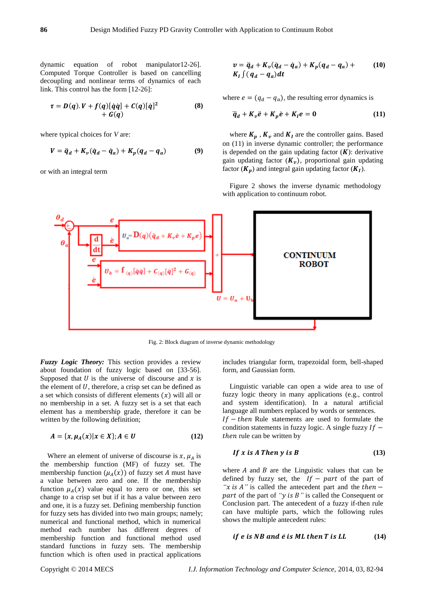dynamic equation of robot manipulator12-26]. Computed Torque Controller is based on cancelling decoupling and nonlinear terms of dynamics of each link. This control has the form [12-26]:

$$
\tau = D(q).V + f(q)[\dot{q}\dot{q}] + C(q)[\dot{q}]^2
$$
\n
$$
+ G(q)
$$
\n(8)

where typical choices for *V* are:

$$
V = \ddot{q}_d + K_v(\dot{q}_d - \dot{q}_a) + K_p(q_d - q_a) \tag{9}
$$

or with an integral term

$$
v = \ddot{q}_d + K_v(\dot{q}_d - \dot{q}_a) + K_p(q_d - q_a) +
$$
  
\n
$$
K_t \int (q_d - q_a) dt
$$
 (10)

where  $e = (q_d - q_a)$ , the resulting error dynamics is

$$
\ddot{q}_d + K_v \ddot{e} + K_p \dot{e} + K_l e = 0 \qquad (11)
$$

where  $K_p$ ,  $K_v$  and  $K_l$  are the controller gains. Based on (11) in inverse dynamic controller; the performance is depended on the gain updating factor  $(K)$ : derivative gain updating factor  $(K_n)$ , proportional gain updating factor  $(K_p)$  and integral gain updating factor  $(K_I)$ .

Figure 2 shows the inverse dynamic methodology with application to continuum robot.



Fig. 2: Block diagram of inverse dynamic methodology

*Fuzzy Logic Theory:* This section provides a review about foundation of fuzzy logic based on [33-56]. Supposed that  $U$  is the universe of discourse and  $x$  is the element of  $U$ , therefore, a crisp set can be defined as a set which consists of different elements  $(x)$  will all or no membership in a set. A fuzzy set is a set that each element has a membership grade, therefore it can be written by the following definition;

$$
A = \{x, \mu_A(x) | x \in X\}; A \in U \tag{12}
$$

Where an element of universe of discourse is  $x$ ,  $\mu_A$  is the membership function (MF) of fuzzy set. The membership function  $(\mu_A(x))$  of fuzzy set A must have a value between zero and one. If the membership function  $\mu_A(x)$  value equal to zero or one, this set change to a crisp set but if it has a value between zero and one, it is a fuzzy set. Defining membership function for fuzzy sets has divided into two main groups; namely; numerical and functional method, which in numerical method each number has different degrees of membership function and functional method used standard functions in fuzzy sets. The membership function which is often used in practical applications

includes triangular form, trapezoidal form, bell-shaped form, and Gaussian form.

Linguistic variable can open a wide area to use of fuzzy logic theory in many applications (e.g., control and system identification). In a natural artificial language all numbers replaced by words or sentences.  $If - then Rule statements are used to formulate the$ condition statements in fuzzy logic. A single fuzzy  $If$  – then rule can be written by

$$
If x is A Then y is B \tag{13}
$$

where  $A$  and  $B$  are the Linguistic values that can be defined by fuzzy set, the  $If - part$  of the part of *"x is A"* is called the antecedent part and the  $then$  – part of the part of "*y* is B" is called the Consequent or Conclusion part. The antecedent of a fuzzy if-then rule can have multiple parts, which the following rules shows the multiple antecedent rules:

if 
$$
e
$$
 is NB and  $\dot{e}$  is ML then  $T$  is LL \t\t(14)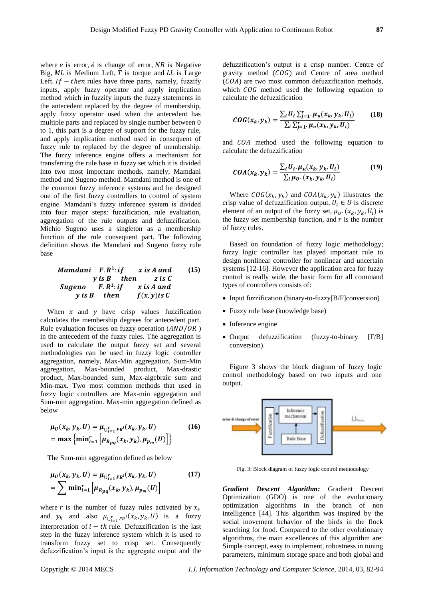where  $e$  is error,  $\dot{e}$  is change of error,  $NB$  is Negative Big,  $ML$  is Medium Left,  $T$  is torque and  $LL$  is Large Left.  $If - then$  rules have three parts, namely, fuzzify inputs, apply fuzzy operator and apply implication method which in fuzzify inputs the fuzzy statements in the antecedent replaced by the degree of membership, apply fuzzy operator used when the antecedent has multiple parts and replaced by single number between 0 to 1, this part is a degree of support for the fuzzy rule, and apply implication method used in consequent of fuzzy rule to replaced by the degree of membership. The fuzzy inference engine offers a mechanism for transferring the rule base in fuzzy set which it is divided into two most important methods, namely, Mamdani method and Sugeno method. Mamdani method is one of the common fuzzy inference systems and he designed one of the first fuzzy controllers to control of system engine. Mamdani's fuzzy inference system is divided into four major steps: fuzzification, rule evaluation, aggregation of the rule outputs and defuzzification. Michio Sugeno uses a singleton as a membership function of the rule consequent part. The following definition shows the Mamdani and Sugeno fuzzy rule base

> Mamdani F.R<sup>1</sup>  $x$  is  $A$  and  $y$  is  $B$  then z is  $C$ **Sugeno**  $F.R^1$ : if  $x$  is  $A$  and  $y$  is B then  $f(x, y)$  is C **(15)**

When  $x$  and  $y$  have crisp values fuzzification calculates the membership degrees for antecedent part. Rule evaluation focuses on fuzzy operation  $(AND/OR)$ in the antecedent of the fuzzy rules. The aggregation is used to calculate the output fuzzy set and several methodologies can be used in fuzzy logic controller aggregation, namely, Max-Min aggregation, Sum-Min aggregation, Max-bounded product, Max-drastic product, Max-bounded sum, Max-algebraic sum and Min-max. Two most common methods that used in fuzzy logic controllers are Max-min aggregation and Sum-min aggregation. Max-min aggregation defined as below

$$
\mu_U(x_k, y_k, U) = \mu_{\bigcup_{i=1}^r FR^i}(x_k, y_k, U)
$$
  
= max {min<sub>i=1</sub>  $\left[ \mu_{Rpq}(x_k, y_k), \mu_{p_m}(U) \right] }$  (16)

The Sum-min aggregation defined as below

$$
\mu_U(x_k, y_k, U) = \mu_{\bigcup_{i=1}^r F R^i}(x_k, y_k, U)
$$
  
=  $\sum \min_{i=1}^r [\mu_{Rpq}(x_k, y_k), \mu_{p_m}(U)]$  (17)

where r is the number of fuzzy rules activated by  $x_k$ and  $y_k$  and also  $\mu_{\bigcup_{i=1}^r FR^i}(x_k, y_k, U)$  is a fuzzy interpretation of  $i - th$  rule. Defuzzification is the last step in the fuzzy inference system which it is used to transform fuzzy set to crisp set. Consequently defuzzification's input is the aggregate output and the

defuzzification's output is a crisp number. Centre of gravity method  $(COG)$  and Centre of area method  $(COA)$  are two most common defuzzification methods, which  $COG$  method used the following equation to calculate the defuzzification

$$
COG(x_k, y_k) = \frac{\sum_{i} U_i \sum_{j=1}^{r} \mu_u(x_k, y_k, U_i)}{\sum_{i} \sum_{j=1}^{r} \mu_u(x_k, y_k, U_i)}
$$
(18)

and COA method used the following equation to calculate the defuzzification

$$
COA(x_k, y_k) = \frac{\sum_i U_i \cdot \mu_u(x_k, y_k, U_i)}{\sum_i \mu_{U} \cdot (x_k, y_k, U_i)}
$$
(19)

Where  $COG(x_k, y_k)$  and  $COA(x_k, y_k)$  illustrates the crisp value of defuzzification output,  $U_i \in U$  is discrete element of an output of the fuzzy set,  $\mu_{U}$ ,  $(x_k, y_k, U_i)$  is the fuzzy set membership function, and  $r$  is the number of fuzzy rules.

Based on foundation of fuzzy logic methodology; fuzzy logic controller has played important rule to design nonlinear controller for nonlinear and uncertain systems [12-16]. However the application area for fuzzy control is really wide, the basic form for all command types of controllers consists of:

- Input fuzzification (binary-to-fuzzy[B/F]conversion)
- Fuzzy rule base (knowledge base)
- Inference engine
- Output defuzzification (fuzzy-to-binary [F/B] conversion).

Figure 3 shows the block diagram of fuzzy logic control methodology based on two inputs and one output.



Fig. 3: Block diagram of fuzzy logic control methodology

*Gradient Descent Algorithm:* Gradient Descent Optimization (GDO) is one of the evolutionary optimization algorithms in the branch of non intelligence [44]. This algorithm was inspired by the social movement behavior of the birds in the flock searching for food. Compared to the other evolutionary algorithms, the main excellences of this algorithm are: Simple concept, easy to implement, robustness in tuning parameters, minimum storage space and both global and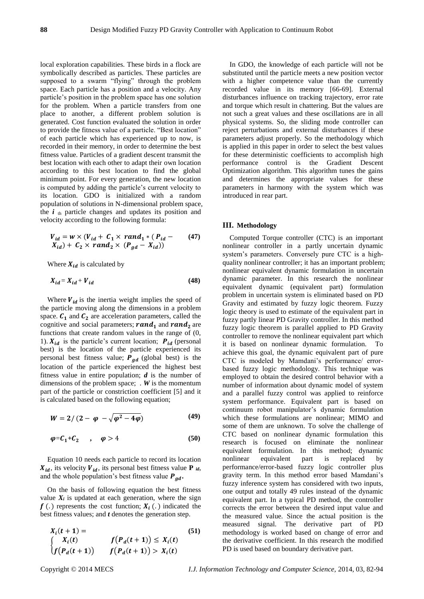local exploration capabilities. These birds in a flock are symbolically described as particles. These particles are supposed to a swarm "flying" through the problem space. Each particle has a position and a velocity. Any particle's position in the problem space has one solution for the problem. When a particle transfers from one place to another, a different problem solution is generated. Cost function evaluated the solution in order to provide the fitness value of a particle. "Best location" of each particle which has experienced up to now, is recorded in their memory, in order to determine the best fitness value. Particles of a gradient descent transmit the best location with each other to adapt their own location according to this best location to find the global minimum point. For every generation, the new location is computed by adding the particle's current velocity to its location. GDO is initialized with a random population of solutions in N-dimensional problem space, the  $i_{th}$  particle changes and updates its position and velocity according to the following formula:

$$
V_{id} = w \times (V_{id} + C_1 \times rand_1 * (P_{id} - X_{id}))
$$
  

$$
X_{id}) + C_2 \times rand_2 \times (P_{gd} - X_{id}))
$$
 (47)

Where  $X_{id}$  is calculated by

$$
X_{id} = X_{id} + V_{id} \tag{48}
$$

Where  $V_{id}$  is the inertia weight implies the speed of the particle moving along the dimensions in a problem space.  $C_1$  and  $C_2$  are acceleration parameters, called the cognitive and social parameters;  $rand_1$  and  $rand_2$  are functions that create random values in the range of (0, 1).  $X_{id}$  is the particle's current location;  $P_{id}$  (personal best) is the location of the particle experienced its personal best fitness value;  $P_{gd}$  (global best) is the location of the particle experienced the highest best fitness value in entire population; *d* is the number of dimensions of the problem space; . *W* is the momentum part of the particle or constriction coefficient [5] and it is calculated based on the following equation;

$$
W = 2/(2 - \varphi - \sqrt{\varphi^2 - 4\varphi})
$$
 (49)

$$
\varphi = C_1 + C_2 \qquad , \qquad \varphi > 4 \tag{50}
$$

Equation 10 needs each particle to record its location  $X_{id}$ , its velocity  $V_{id}$ , its personal best fitness value **P** *id*, and the whole population's best fitness value  $P_{ad}$ .

On the basis of following equation the best fitness value  $X_i$  is updated at each generation, where the sign  $f(.)$  represents the cost function;  $X_i(.)$  indicated the best fitness values; and *t* denotes the generation step.

$$
X_i(t + 1) = \n\begin{cases} \nX_i(t) & f(P_d(t + 1)) \le X_i(t) \\
f(P_d(t + 1)) & f(P_d(t + 1)) > X_i(t)\n\end{cases}
$$
\n(51)

In GDO, the knowledge of each particle will not be substituted until the particle meets a new position vector with a higher competence value than the currently recorded value in its memory [66-69]. External disturbances influence on tracking trajectory, error rate and torque which result in chattering. But the values are not such a great values and these oscillations are in all physical systems. So, the sliding mode controller can reject perturbations and external disturbances if these parameters adjust properly. So the methodology which is applied in this paper in order to select the best values for these deterministic coefficients to accomplish high performance control is the Gradient Descent Optimization algorithm. This algorithm tunes the gains and determines the appropriate values for these parameters in harmony with the system which was introduced in rear part.

#### **III. Methodology**

Computed Torque controller (CTC) is an important nonlinear controller in a partly uncertain dynamic system's parameters. Conversely pure CTC is a highquality nonlinear controller; it has an important problem; nonlinear equivalent dynamic formulation in uncertain dynamic parameter. In this research the nonlinear equivalent dynamic (equivalent part) formulation problem in uncertain system is eliminated based on PD Gravity and estimated by fuzzy logic theorem. Fuzzy logic theory is used to estimate of the equivalent part in fuzzy partly linear PD Gravity controller. In this method fuzzy logic theorem is parallel applied to PD Gravity controller to remove the nonlinear equivalent part which it is based on nonlinear dynamic formulation. To achieve this goal, the dynamic equivalent part of pure CTC is modeled by Mamdani's performance/ errorbased fuzzy logic methodology. This technique was employed to obtain the desired control behavior with a number of information about dynamic model of system and a parallel fuzzy control was applied to reinforce system performance. Equivalent part is based on continuum robot manipulator's dynamic formulation which these formulations are nonlinear; MIMO and some of them are unknown. To solve the challenge of CTC based on nonlinear dynamic formulation this research is focused on eliminate the nonlinear equivalent formulation. In this method; dynamic nonlinear equivalent part is replaced by performance/error-based fuzzy logic controller plus gravity term. In this method error based Mamdani's fuzzy inference system has considered with two inputs, one output and totally 49 rules instead of the dynamic equivalent part. In a typical PD method, the controller corrects the error between the desired input value and the measured value. Since the actual position is the measured signal. The derivative part of PD methodology is worked based on change of error and the derivative coefficient. In this research the modified PD is used based on boundary derivative part.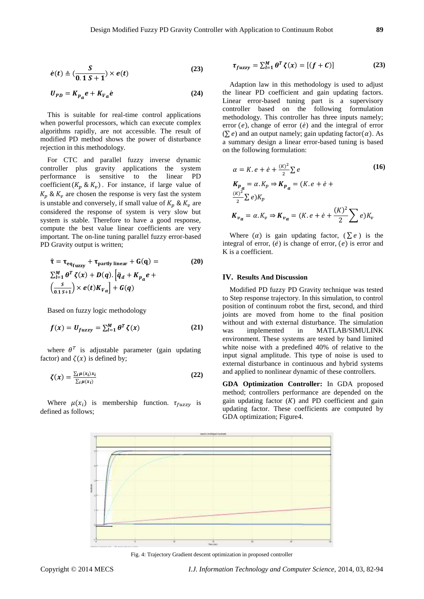$$
\dot{e}(t) \triangleq \left(\frac{S}{0.1 S + 1}\right) \times e(t) \tag{23}
$$

$$
U_{PD} = K_{p_a} e + K_{V_a} \dot{e}
$$
 (24)

This is suitable for real-time control applications when powerful processors, which can execute complex algorithms rapidly, are not accessible. The result of modified PD method shows the power of disturbance rejection in this methodology.

For CTC and parallel fuzzy inverse dynamic controller plus gravity applications the system performance is sensitive to the linear PD coefficient  $(K_n \& K_n)$ . For instance, if large value of  $K_p$  &  $K_p$  are chosen the response is very fast the system is unstable and conversely, if small value of  $K_n$  &  $K_v$  are considered the response of system is very slow but system is stable. Therefore to have a good response, compute the best value linear coefficients are very important. The on-line tuning parallel fuzzy error-based PD Gravity output is written;

$$
\hat{\tau} = \tau_{eq_{fuzzy}} + \tau_{partly linear} + G(q) =
$$
\n
$$
\sum_{l=1}^{M} \theta^{T} \zeta(x) + D(q). [\ddot{q}_{d} + K_{p_{d}} e + (\frac{s}{(0.1 S + 1)}) \times e(t) K_{v_{d}}] + G(q)
$$
\n(20)

Based on fuzzy logic methodology

$$
f(x) = U_{fuzzy} = \sum_{l=1}^{M} \theta^{T} \zeta(x)
$$
 (21)

where  $\theta^T$  is adjustable parameter (gain updating factor) and  $\zeta(x)$  is defined by;

$$
\zeta(x) = \frac{\sum_{i} \mu(x_i) x_i}{\sum_{i} \mu(x_i)}
$$
(22)

Where  $\mu(x_i)$  is membership function.  $\tau_{fuzzy}$  is defined as follows;

$$
\tau_{fuzzy} = \sum_{l=1}^{M} \theta^T \zeta(x) = [(f + C)] \tag{23}
$$

Adaption law in this methodology is used to adjust the linear PD coefficient and gain updating factors. Linear error-based tuning part is a supervisory controller based on the following formulation methodology. This controller has three inputs namely; error  $(e)$ , change of error  $(e)$  and the integral of error  $(\sum e)$  and an output namely; gain updating factor( $\alpha$ ). As a summary design a linear error-based tuning is based on the following formulation:

$$
\alpha = K \cdot e + \dot{e} + \frac{(\kappa)^2}{2} \sum e
$$
\n
$$
K_{p_a} = \alpha \cdot K_p \Rightarrow K_{p_a} = (K \cdot e + \dot{e} + \frac{(\kappa)^2}{2} \sum e) K_p
$$
\n
$$
K_{v_a} = \alpha \cdot K_v \Rightarrow K_{v_a} = (K \cdot e + \dot{e} + \frac{(\kappa)^2}{2} \sum e) K_v
$$
\n(16)

Where  $(\alpha)$  is gain updating factor,  $(\sum e)$  is the integral of error,  $(\dot{e})$  is change of error,  $(e)$  is error and K is a coefficient.

## **IV. Results And Discussion**

Modified PD fuzzy PD Gravity technique was tested to Step response trajectory. In this simulation, to control position of continuum robot the first, second, and third joints are moved from home to the final position without and with external disturbance. The simulation was implemented in MATLAB/SIMULINK environment. These systems are tested by band limited white noise with a predefined 40% of relative to the input signal amplitude. This type of noise is used to external disturbance in continuous and hybrid systems and applied to nonlinear dynamic of these controllers.

**GDA Optimization Controller:** In GDA proposed method; controllers performance are depended on the gain updating factor  $(K)$  and PD coefficient and gain updating factor. These coefficients are computed by GDA optimization; Figure4.



Fig. 4: Trajectory Gradient descent optimization in proposed controller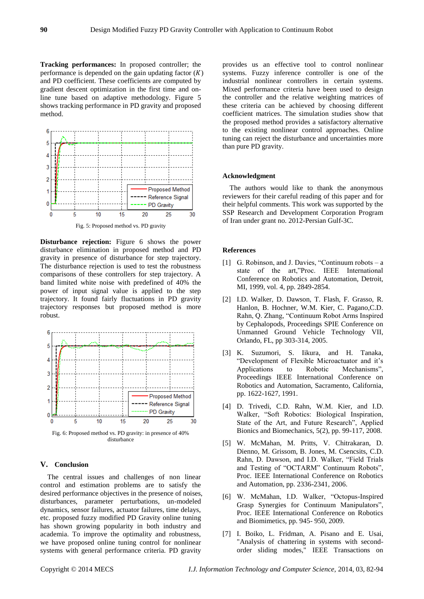**Tracking performances:** In proposed controller; the performance is depended on the gain updating factor  $(K)$ and PD coefficient. These coefficients are computed by gradient descent optimization in the first time and online tune based on adaptive methodology. Figure 5 shows tracking performance in PD gravity and proposed method.



Fig. 5: Proposed method vs. PD gravity

**Disturbance rejection:** Figure 6 shows the power disturbance elimination in proposed method and PD gravity in presence of disturbance for step trajectory. The disturbance rejection is used to test the robustness comparisons of these controllers for step trajectory. A band limited white noise with predefined of 40% the power of input signal value is applied to the step trajectory. It found fairly fluctuations in PD gravity trajectory responses but proposed method is more robust.



Fig. 6: Proposed method vs. PD gravity: in presence of 40% disturbance

### **V. Conclusion**

The central issues and challenges of non linear control and estimation problems are to satisfy the desired performance objectives in the presence of noises, disturbances, parameter perturbations, un-modeled dynamics, sensor failures, actuator failures, time delays, etc. proposed fuzzy modified PD Gravity online tuning has shown growing popularity in both industry and academia. To improve the optimality and robustness, we have proposed online tuning control for nonlinear systems with general performance criteria. PD gravity

provides us an effective tool to control nonlinear systems. Fuzzy inference controller is one of the industrial nonlinear controllers in certain systems. Mixed performance criteria have been used to design the controller and the relative weighting matrices of these criteria can be achieved by choosing different coefficient matrices. The simulation studies show that the proposed method provides a satisfactory alternative to the existing nonlinear control approaches. Online tuning can reject the disturbance and uncertainties more than pure PD gravity.

## **Acknowledgment**

The authors would like to thank the anonymous reviewers for their careful reading of this paper and for their helpful comments. This work was supported by the SSP Research and Development Corporation Program of Iran under grant no. 2012-Persian Gulf-3C.

## **References**

- [1] G. Robinson, and J. Davies, "Continuum robots a state of the art,"Proc. IEEE International Conference on Robotics and Automation, Detroit, MI, 1999, vol. 4, pp. 2849-2854.
- [2] I.D. Walker, D. Dawson, T. Flash, F. Grasso, R. Hanlon, B. Hochner, W.M. Kier, C. Pagano,C.D. Rahn, Q. Zhang, "Continuum Robot Arms Inspired by Cephalopods, Proceedings SPIE Conference on Unmanned Ground Vehicle Technology VII, Orlando, FL, pp 303-314, 2005.
- [3] K. Suzumori, S. Iikura, and H. Tanaka, "Development of Flexible Microactuator and it's Applications to Robotic Mechanisms", Proceedings IEEE International Conference on Robotics and Automation, Sacramento, California, pp. 1622-1627, 1991.
- [4] D. Trivedi, C.D. Rahn, W.M. Kier, and I.D. Walker, "Soft Robotics: Biological Inspiration, State of the Art, and Future Research", Applied Bionics and Biomechanics, 5(2), pp. 99-117, 2008.
- [5] W. McMahan, M. Pritts, V. Chitrakaran, D. Dienno, M. Grissom, B. Jones, M. Csencsits, C.D. Rahn, D. Dawson, and I.D. Walker, "Field Trials and Testing of "OCTARM" Continuum Robots", Proc. IEEE International Conference on Robotics and Automation, pp. 2336-2341, 2006.
- [6] W. McMahan, I.D. Walker, "Octopus-Inspired Grasp Synergies for Continuum Manipulators", Proc. IEEE International Conference on Robotics and Biomimetics, pp. 945- 950, 2009.
- [7] I. Boiko, L. Fridman, A. Pisano and E. Usai, "Analysis of chattering in systems with secondorder sliding modes," IEEE Transactions on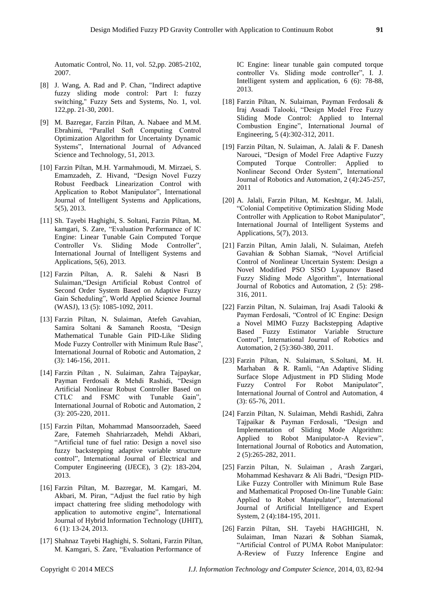Automatic Control, No. 11, vol. 52,pp. 2085-2102, 2007.

- [8] J. Wang, A. Rad and P. Chan, "Indirect adaptive fuzzy sliding mode control: Part I: fuzzy switching," Fuzzy Sets and Systems, No. 1, vol. 122,pp. 21-30, 2001.
- [9] M. Bazregar, Farzin Piltan, A. Nabaee and M.M. Ebrahimi, "Parallel Soft Computing Control Optimization Algorithm for Uncertainty Dynamic Systems", International Journal of Advanced Science and Technology, 51, 2013.
- [10] Farzin Piltan, M.H. Yarmahmoudi, M. Mirzaei, S. Emamzadeh, Z. Hivand, "Design Novel Fuzzy Robust Feedback Linearization Control with Application to Robot Manipulator", International Journal of Intelligent Systems and Applications, 5(5), 2013.
- [11] Sh. Tayebi Haghighi, S. Soltani, Farzin Piltan, M. kamgari, S. Zare, "Evaluation Performance of IC Engine: Linear Tunable Gain Computed Torque Controller Vs. Sliding Mode Controller", International Journal of Intelligent Systems and Applications, 5(6), 2013.
- [12] Farzin Piltan, A. R. Salehi & Nasri B Sulaiman,"Design Artificial Robust Control of Second Order System Based on Adaptive Fuzzy Gain Scheduling", World Applied Science Journal (WASJ), 13 (5): 1085-1092, 2011.
- [13] Farzin Piltan, N. Sulaiman, Atefeh Gavahian, Samira Soltani & Samaneh Roosta, "Design Mathematical Tunable Gain PID-Like Sliding Mode Fuzzy Controller with Minimum Rule Base", International Journal of Robotic and Automation, 2 (3): 146-156, 2011.
- [14] Farzin Piltan , N. Sulaiman, Zahra Tajpaykar, Payman Ferdosali & Mehdi Rashidi, "Design Artificial Nonlinear Robust Controller Based on CTLC and FSMC with Tunable Gain", International Journal of Robotic and Automation, 2 (3): 205-220, 2011.
- [15] Farzin Piltan, Mohammad Mansoorzadeh, Saeed Zare, Fatemeh Shahriarzadeh, Mehdi Akbari, "Artificial tune of fuel ratio: Design a novel siso fuzzy backstepping adaptive variable structure control", International Journal of Electrical and Computer Engineering (IJECE), 3 (2): 183-204, 2013.
- [16] Farzin Piltan, M. Bazregar, M. Kamgari, M. Akbari, M. Piran, "Adjust the fuel ratio by high impact chattering free sliding methodology with application to automotive engine", International Journal of Hybrid Information Technology (IJHIT), 6 (1): 13-24, 2013.
- [17] Shahnaz Tayebi Haghighi, S. Soltani, Farzin Piltan, M. Kamgari, S. Zare, "Evaluation Performance of

IC Engine: linear tunable gain computed torque controller Vs. Sliding mode controller", I. J. Intelligent system and application, 6 (6): 78-88, 2013.

- [18] Farzin Piltan, N. Sulaiman, Payman Ferdosali & Iraj Assadi Talooki, "Design Model Free Fuzzy Sliding Mode Control: Applied to Internal Combustion Engine", International Journal of Engineering, 5 (4):302-312, 2011.
- [19] Farzin Piltan, N. Sulaiman, A. Jalali & F. Danesh Narouei, "Design of Model Free Adaptive Fuzzy Computed Torque Controller: Applied to Nonlinear Second Order System", International Journal of Robotics and Automation, 2 (4):245-257, 2011
- [20] A. Jalali, Farzin Piltan, M. Keshtgar, M. Jalali, "Colonial Competitive Optimization Sliding Mode Controller with Application to Robot Manipulator", International Journal of Intelligent Systems and Applications, 5(7), 2013.
- [21] Farzin Piltan, Amin Jalali, N. Sulaiman, Atefeh Gavahian & Sobhan Siamak, "Novel Artificial Control of Nonlinear Uncertain System: Design a Novel Modified PSO SISO Lyapunov Based Fuzzy Sliding Mode Algorithm", International Journal of Robotics and Automation, 2 (5): 298- 316, 2011.
- [22] Farzin Piltan, N. Sulaiman, Iraj Asadi Talooki & Payman Ferdosali, "Control of IC Engine: Design a Novel MIMO Fuzzy Backstepping Adaptive Based Fuzzy Estimator Variable Structure Control", International Journal of Robotics and Automation, 2 (5):360-380, 2011.
- [23] Farzin Piltan, N. Sulaiman, S.Soltani, M. H. Marhaban & R. Ramli, "An Adaptive Sliding Surface Slope Adjustment in PD Sliding Mode Fuzzy Control For Robot Manipulator", International Journal of Control and Automation, 4 (3): 65-76, 2011.
- [24] Farzin Piltan, N. Sulaiman, Mehdi Rashidi, Zahra Tajpaikar & Payman Ferdosali, "Design and Implementation of Sliding Mode Algorithm: Applied to Robot Manipulator-A Review", International Journal of Robotics and Automation, 2 (5):265-282, 2011.
- [25] Farzin Piltan, N. Sulaiman , Arash Zargari, Mohammad Keshavarz & Ali Badri, "Design PID-Like Fuzzy Controller with Minimum Rule Base and Mathematical Proposed On-line Tunable Gain: Applied to Robot Manipulator", International Journal of Artificial Intelligence and Expert System, 2 (4):184-195, 2011.
- [26] Farzin Piltan, SH. Tayebi HAGHIGHI, N. Sulaiman, Iman Nazari & Sobhan Siamak, "Artificial Control of PUMA Robot Manipulator: A-Review of Fuzzy Inference Engine and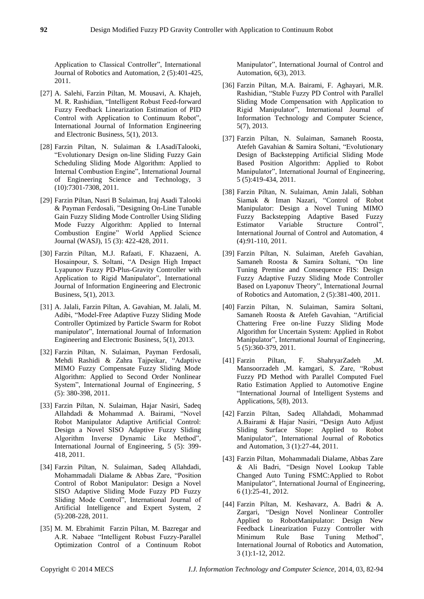Application to Classical Controller", International Journal of Robotics and Automation, 2 (5):401-425, 2011.

- [27] A. Salehi, Farzin Piltan, M. Mousavi, A. Khajeh, M. R. Rashidian, "Intelligent Robust Feed-forward Fuzzy Feedback Linearization Estimation of PID Control with Application to Continuum Robot", International Journal of Information Engineering and Electronic Business, 5(1), 2013.
- [28] Farzin Piltan, N. Sulaiman & I.AsadiTalooki, "Evolutionary Design on-line Sliding Fuzzy Gain Scheduling Sliding Mode Algorithm: Applied to Internal Combustion Engine", International Journal of Engineering Science and Technology, 3 (10):7301-7308, 2011.
- [29] Farzin Piltan, Nasri B Sulaiman, Iraj Asadi Talooki & Payman Ferdosali, "Designing On-Line Tunable Gain Fuzzy Sliding Mode Controller Using Sliding Mode Fuzzy Algorithm: Applied to Internal Combustion Engine" World Applied Science Journal (WASJ), 15 (3): 422-428, 2011.
- [30] Farzin Piltan, M.J. Rafaati, F. Khazaeni, A. Hosainpour, S. Soltani, "A Design High Impact Lyapunov Fuzzy PD-Plus-Gravity Controller with Application to Rigid Manipulator", International Journal of Information Engineering and Electronic Business, 5(1), 2013.
- [31] A. Jalali, Farzin Piltan, A. Gavahian, M. Jalali, M. Adibi, "Model-Free Adaptive Fuzzy Sliding Mode Controller Optimized by Particle Swarm for Robot manipulator", International Journal of Information Engineering and Electronic Business, 5(1), 2013.
- [32] Farzin Piltan, N. Sulaiman, Payman Ferdosali, Mehdi Rashidi & Zahra Tajpeikar, "Adaptive MIMO Fuzzy Compensate Fuzzy Sliding Mode Algorithm: Applied to Second Order Nonlinear System", International Journal of Engineering, 5 (5): 380-398, 2011.
- [33] Farzin Piltan, N. Sulaiman, Hajar Nasiri, Sadeq Allahdadi & Mohammad A. Bairami, "Novel Robot Manipulator Adaptive Artificial Control: Design a Novel SISO Adaptive Fuzzy Sliding Algorithm Inverse Dynamic Like Method", International Journal of Engineering, 5 (5): 399- 418, 2011.
- [34] Farzin Piltan, N. Sulaiman, Sadeq Allahdadi, Mohammadali Dialame & Abbas Zare, "Position Control of Robot Manipulator: Design a Novel SISO Adaptive Sliding Mode Fuzzy PD Fuzzy Sliding Mode Control", International Journal of Artificial Intelligence and Expert System, 2 (5):208-228, 2011.
- [35] M. M. Ebrahimit Farzin Piltan, M. Bazregar and A.R. Nabaee "Intelligent Robust Fuzzy-Parallel Optimization Control of a Continuum Robot

Manipulator", International Journal of Control and Automation, 6(3), 2013.

- [36] Farzin Piltan, M.A. Bairami, F. Aghayari, M.R. Rashidian, "Stable Fuzzy PD Control with Parallel Sliding Mode Compensation with Application to Rigid Manipulator", International Journal of Information Technology and Computer Science, 5(7), 2013.
- [37] Farzin Piltan, N. Sulaiman, Samaneh Roosta, Atefeh Gavahian & Samira Soltani, "Evolutionary Design of Backstepping Artificial Sliding Mode Based Position Algorithm: Applied to Robot Manipulator", International Journal of Engineering, 5 (5):419-434, 2011.
- [38] Farzin Piltan, N. Sulaiman, Amin Jalali, Sobhan Siamak & Iman Nazari, "Control of Robot Manipulator: Design a Novel Tuning MIMO Fuzzy Backstepping Adaptive Based Fuzzy Estimator Variable Structure Control", International Journal of Control and Automation, 4 (4):91-110, 2011.
- [39] Farzin Piltan, N. Sulaiman, Atefeh Gavahian, Samaneh Roosta & Samira Soltani, ["On line](http://www.cscjournals.org/csc/manuscriptinfo.php?ManuscriptCode=67.68.76.59.39.47.49.104&JCode=IJRA&EJCode=66.67.75.58.105&Volume=2&Issue=5)  [Tuning Premise and Consequence FIS: Design](http://www.cscjournals.org/csc/manuscriptinfo.php?ManuscriptCode=67.68.76.59.39.47.49.104&JCode=IJRA&EJCode=66.67.75.58.105&Volume=2&Issue=5)  [Fuzzy Adaptive Fuzzy Sliding Mode Controller](http://www.cscjournals.org/csc/manuscriptinfo.php?ManuscriptCode=67.68.76.59.39.47.49.104&JCode=IJRA&EJCode=66.67.75.58.105&Volume=2&Issue=5)  [Based on Lyaponuv Theory"](http://www.cscjournals.org/csc/manuscriptinfo.php?ManuscriptCode=67.68.76.59.39.47.49.104&JCode=IJRA&EJCode=66.67.75.58.105&Volume=2&Issue=5), International Journal of Robotics and Automation, 2 (5):381-400, 2011.
- [40] Farzin Piltan, N. Sulaiman, Samira Soltani, Samaneh Roosta & Atefeh Gavahian, ["Artificial](http://www.cscjournals.org/csc/manuscriptinfo.php?ManuscriptCode=68.69.64.40.46.44.44.103&JCode=IJE&EJCode=70.71.66.101&Volume=5&Issue=5)  [Chattering Free on-line Fuzzy Sliding Mode](http://www.cscjournals.org/csc/manuscriptinfo.php?ManuscriptCode=68.69.64.40.46.44.44.103&JCode=IJE&EJCode=70.71.66.101&Volume=5&Issue=5)  [Algorithm for Uncertain System: Applied in Robot](http://www.cscjournals.org/csc/manuscriptinfo.php?ManuscriptCode=68.69.64.40.46.44.44.103&JCode=IJE&EJCode=70.71.66.101&Volume=5&Issue=5)  [Manipulator"](http://www.cscjournals.org/csc/manuscriptinfo.php?ManuscriptCode=68.69.64.40.46.44.44.103&JCode=IJE&EJCode=70.71.66.101&Volume=5&Issue=5), International Journal of Engineering, 5 (5):360-379, 2011.
- [41] Farzin Piltan, F. ShahryarZadeh ,M. Mansoorzadeh ,M. kamgari, S. Zare, "Robust Fuzzy PD Method with Parallel Computed Fuel Ratio Estimation Applied to Automotive Engine "International Journal of Intelligent Systems and Applications, 5(8), 2013.
- [42] Farzin Piltan, Sadeq Allahdadi, Mohammad A.Bairami & Hajar Nasiri, "Design Auto Adjust Sliding Surface Slope: Applied to Robot Manipulator", International Journal of Robotics and Automation, 3 (1):27-44, 2011.
- [43] Farzin Piltan, Mohammadali Dialame, Abbas Zare & Ali Badri, "Design Novel Lookup Table Changed Auto Tuning FSMC:Applied to Robot Manipulator", International Journal of Engineering, 6 (1):25-41, 2012.
- [44] Farzin Piltan, M. Keshavarz, A. Badri & A. Zargari, "Design Novel Nonlinear Controller Applied to RobotManipulator: Design New Feedback Linearization Fuzzy Controller with Minimum Rule Base Tuning Method", International Journal of Robotics and Automation, 3 (1):1-12, 2012.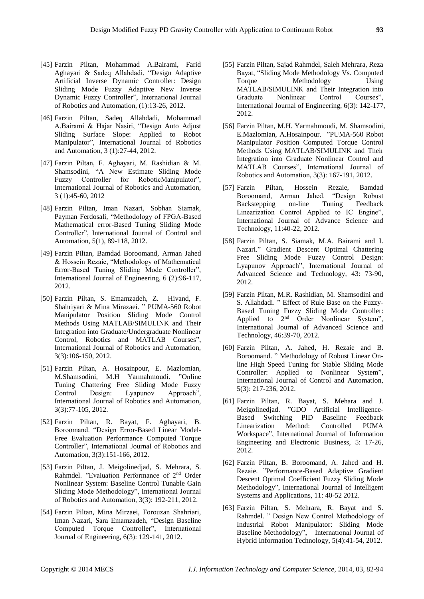- [45] Farzin Piltan, Mohammad A.Bairami, Farid Aghayari & Sadeq Allahdadi, "Design Adaptive Artificial Inverse Dynamic Controller: Design Sliding Mode Fuzzy Adaptive New Inverse Dynamic Fuzzy Controller", International Journal of Robotics and Automation, (1):13-26, 2012.
- [46] Farzin Piltan, Sadeq Allahdadi, Mohammad A.Bairami & Hajar Nasiri, "Design Auto Adjust Sliding Surface Slope: Applied to Robot Manipulator", International Journal of Robotics and Automation, 3 (1):27-44, 2012.
- [47] Farzin Piltan, F. Aghayari, M. Rashidian & M. Shamsodini, "A New Estimate Sliding Mode Fuzzy Controller for RoboticManipulator", International Journal of Robotics and Automation, 3 (1):45-60, 2012
- [48] Farzin Piltan, Iman Nazari, Sobhan Siamak, Payman Ferdosali, "Methodology of FPGA-Based Mathematical error-Based Tuning Sliding Mode Controller", International Journal of Control and Automation, 5(1), 89-118, 2012.
- [49] Farzin Piltan, Bamdad Boroomand, Arman Jahed & Hossein Rezaie, "Methodology of Mathematical Error-Based Tuning Sliding Mode Controller", International Journal of Engineering, 6 (2):96-117, 2012.
- [50] Farzin Piltan, S. Emamzadeh, Z. Hivand, F. Shahriyari & Mina Mirazaei. " PUMA-560 Robot Manipulator Position Sliding Mode Control Methods Using MATLAB/SIMULINK and Their Integration into Graduate/Undergraduate Nonlinear Control, Robotics and MATLAB Courses", International Journal of Robotics and Automation, 3(3):106-150, 2012.
- [51] Farzin Piltan, A. Hosainpour, E. Mazlomian, M.Shamsodini, M.H Yarmahmoudi. "Online Tuning Chattering Free Sliding Mode Fuzzy Control Design: Lyapunov Approach", International Journal of Robotics and Automation, 3(3):77-105, 2012.
- [52] Farzin Piltan, R. Bayat, F. Aghayari, B. Boroomand. "Design Error-Based Linear Model-Free Evaluation Performance Computed Torque Controller", International Journal of Robotics and Automation, 3(3):151-166, 2012.
- [53] Farzin Piltan, J. Meigolinedjad, S. Mehrara, S. Rahmdel. "Evaluation Performance of 2nd Order Nonlinear System: Baseline Control Tunable Gain Sliding Mode Methodology", International Journal of Robotics and Automation, 3(3): 192-211, 2012.
- [54] Farzin Piltan, Mina Mirzaei, Forouzan Shahriari, Iman Nazari, Sara Emamzadeh, "Design Baseline Computed Torque Controller", International Journal of Engineering, 6(3): 129-141, 2012.
- [55] Farzin Piltan, Sajad Rahmdel, Saleh Mehrara, Reza Bayat, "Sliding Mode Methodology Vs. Computed Torque Methodology Using MATLAB/SIMULINK and Their Integration into Graduate Nonlinear Control Courses", International Journal of Engineering, 6(3): 142-177, 2012.
- [56] Farzin Piltan, M.H. Yarmahmoudi, M. Shamsodini, E.Mazlomian, A.Hosainpour. "PUMA-560 Robot Manipulator Position Computed Torque Control Methods Using MATLAB/SIMULINK and Their Integration into Graduate Nonlinear Control and MATLAB Courses", International Journal of Robotics and Automation, 3(3): 167-191, 2012.
- [57] Farzin Piltan, Hossein Rezaie, Bamdad Boroomand, Arman Jahed. "Design Robust Backstepping on-line Tuning Feedback Linearization Control Applied to IC Engine", International Journal of Advance Science and Technology, 11:40-22, 2012.
- [58] Farzin Piltan, S. Siamak, M.A. Bairami and I. Nazari." Gradient Descent Optimal Chattering Free Sliding Mode Fuzzy Control Design: Lyapunov Approach", International Journal of Advanced Science and Technology, 43: 73-90, 2012.
- [59] Farzin Piltan, M.R. Rashidian, M. Shamsodini and S. Allahdadi. " Effect of Rule Base on the Fuzzy-Based Tuning Fuzzy Sliding Mode Controller: Applied to 2<sup>nd</sup> Order Nonlinear System", International Journal of Advanced Science and Technology, 46:39-70, 2012.
- [60] Farzin Piltan, A. Jahed, H. Rezaie and B. Boroomand. " Methodology of Robust Linear Online High Speed Tuning for Stable Sliding Mode Controller: Applied to Nonlinear System", International Journal of Control and Automation, 5(3): 217-236, 2012.
- [61] Farzin Piltan, R. Bayat, S. Mehara and J. Meigolinedjad. "GDO Artificial Intelligence-Based Switching PID Baseline Feedback Linearization Method: Controlled PUMA Workspace", International Journal of Information Engineering and Electronic Business, 5: 17-26, 2012.
- [62] Farzin Piltan, B. Boroomand, A. Jahed and H. Rezaie. "Performance-Based Adaptive Gradient Descent Optimal Coefficient Fuzzy Sliding Mode Methodology", International Journal of Intelligent Systems and Applications, 11: 40-52 2012.
- [63] Farzin Piltan, S. Mehrara, R. Bayat and S. Rahmdel. " Design New Control Methodology of Industrial Robot Manipulator: Sliding Mode Baseline Methodology", International Journal of Hybrid Information Technology, 5(4):41-54, 2012.